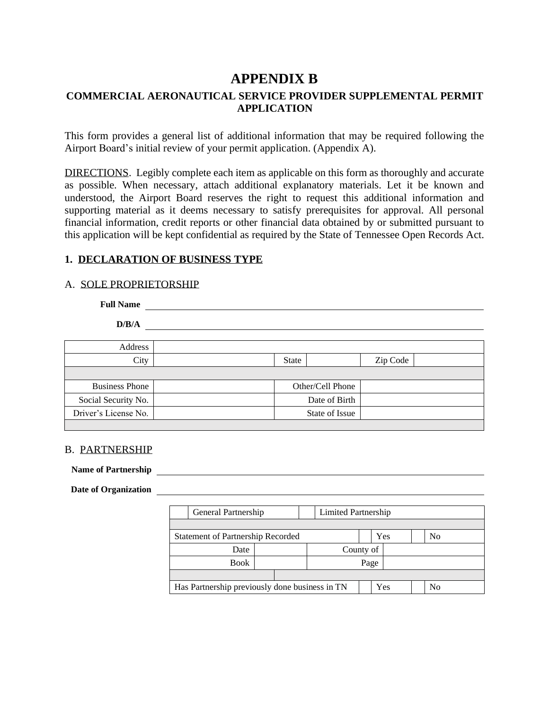# **APPENDIX B**

# **COMMERCIAL AERONAUTICAL SERVICE PROVIDER SUPPLEMENTAL PERMIT APPLICATION**

This form provides a general list of additional information that may be required following the Airport Board's initial review of your permit application. (Appendix A).

DIRECTIONS. Legibly complete each item as applicable on this form as thoroughly and accurate as possible. When necessary, attach additional explanatory materials. Let it be known and understood, the Airport Board reserves the right to request this additional information and supporting material as it deems necessary to satisfy prerequisites for approval. All personal financial information, credit reports or other financial data obtained by or submitted pursuant to this application will be kept confidential as required by the State of Tennessee Open Records Act.

### **1. DECLARATION OF BUSINESS TYPE**

### A. SOLE PROPRIETORSHIP

**Full Name D/B/A** Address City State Zip Code Business Phone **Department Control** Other/Cell Phone Social Security No. 2008 2012 12:30 No. 2014 2015 2016 2017 2018 2019 2014 2016 2017 2018 2019 2017 2018 2019 2017 2018 2019 2017 2018 2019 2019 2017 2018 2019 2017 2018 2019 2019 2019 2017 2018 2019 2019 2017 2018 2019 20 Driver's License No. State of Issue

### B. PARTNERSHIP

Name of Partnership **and Contract Contract Contract Contract Contract Contract Contract Contract Contract Contract Contract Contract Contract Contract Contract Contract Contract Contract Contract Contract Contract Contract** 

Date of Organization **CONSERVING CONSERVING CONSERVING CONSERVING CONSERVING CONSERVING CONSERVING CONSERVING CONSERVING CONSERVING CONSERVING CONSERVING CONSERVING CONSERVING CONSERVING CONSERVING CONSERVING CONSERVING CO** 

| General Partnership                            |  | Limited Partnership |      |     |                |
|------------------------------------------------|--|---------------------|------|-----|----------------|
|                                                |  |                     |      |     |                |
| Statement of Partnership Recorded              |  |                     |      | Yes | N <sub>0</sub> |
| Date                                           |  | County of           |      |     |                |
| <b>Book</b>                                    |  |                     | Page |     |                |
|                                                |  |                     |      |     |                |
| Has Partnership previously done business in TN |  |                     |      | Yes | No             |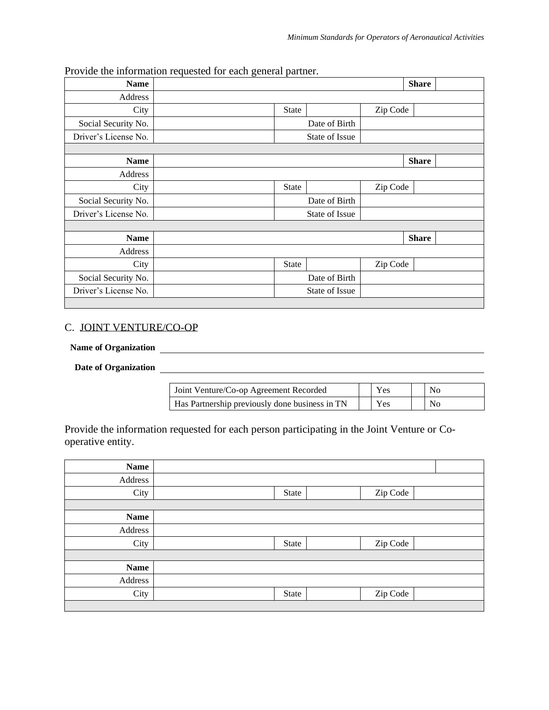| <b>Name</b>          |                |          | <b>Share</b> |
|----------------------|----------------|----------|--------------|
| Address              |                |          |              |
| City                 | <b>State</b>   | Zip Code |              |
| Social Security No.  | Date of Birth  |          |              |
| Driver's License No. | State of Issue |          |              |
|                      |                |          |              |
| <b>Name</b>          |                |          | <b>Share</b> |
| Address              |                |          |              |
| City                 | <b>State</b>   | Zip Code |              |
| Social Security No.  | Date of Birth  |          |              |
| Driver's License No. | State of Issue |          |              |
|                      |                |          |              |
| <b>Name</b>          |                |          | <b>Share</b> |
| Address              |                |          |              |
| City                 | <b>State</b>   | Zip Code |              |
| Social Security No.  | Date of Birth  |          |              |
| Driver's License No. | State of Issue |          |              |

Provide the information requested for each general partner.

#### C. JOINT VENTURE/CO-OP

# **Name of Organization**

# Date of Organization <u>and the contract of the contract of Organization</u>

| Joint Venture/Co-op Agreement Recorded         | Y es       | Nο |
|------------------------------------------------|------------|----|
| Has Partnership previously done business in TN | <b>Yes</b> | No |

Provide the information requested for each person participating in the Joint Venture or Cooperative entity.

| <b>Name</b> |       |          |
|-------------|-------|----------|
| Address     |       |          |
| City        | State | Zip Code |
|             |       |          |
| <b>Name</b> |       |          |
| Address     |       |          |
| City        | State | Zip Code |
|             |       |          |
| <b>Name</b> |       |          |
| Address     |       |          |
| City        | State | Zip Code |
|             |       |          |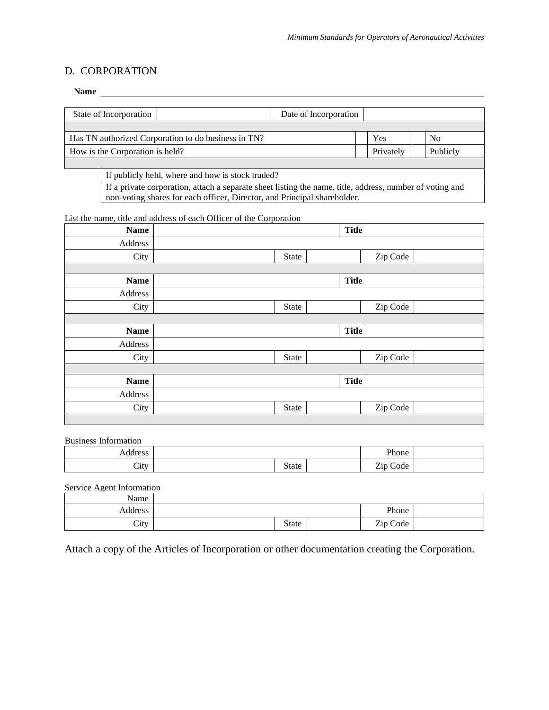### D. CORPORATION

#### Name experience and the second second second second second second second second second second second second second second second second second second second second second second second second second second second second se

| State of Incorporation                              | Date of Incorporation |           |                |
|-----------------------------------------------------|-----------------------|-----------|----------------|
|                                                     |                       |           |                |
| Has TN authorized Corporation to do business in TN? |                       | Yes       | N <sub>0</sub> |
| How is the Corporation is held?                     |                       | Privately | Publicly       |
|                                                     |                       |           |                |

If publicly held, where and how is stock traded?

If a private corporation, attach a separate sheet listing the name, title, address, number of voting and non-voting shares for each officer, Director, and Principal shareholder.

List the name, title and address of each Officer of the Corporation

| <b>Name</b> |       | <b>Title</b> |          |
|-------------|-------|--------------|----------|
| Address     |       |              |          |
| City        | State |              | Zip Code |
|             |       |              |          |
| <b>Name</b> |       | <b>Title</b> |          |
| Address     |       |              |          |
| City        | State |              | Zip Code |
|             |       |              |          |
| <b>Name</b> |       | <b>Title</b> |          |
|             |       |              |          |
| Address     |       |              |          |
| City        | State |              | Zip Code |
|             |       |              |          |
| <b>Name</b> |       | <b>Title</b> |          |
| Address     |       |              |          |
| City        | State |              | Zip Code |

Business Information

| .                       |          | Phone    |  |
|-------------------------|----------|----------|--|
| ~·<br>$\mathcal{C}$ ity | ate<br>ມ | -<br>ode |  |

Service Agent Information

| Name    |       |          |  |
|---------|-------|----------|--|
| Address |       | Phone    |  |
| City    | State | Zip Code |  |

Attach a copy of the Articles of Incorporation or other documentation creating the Corporation.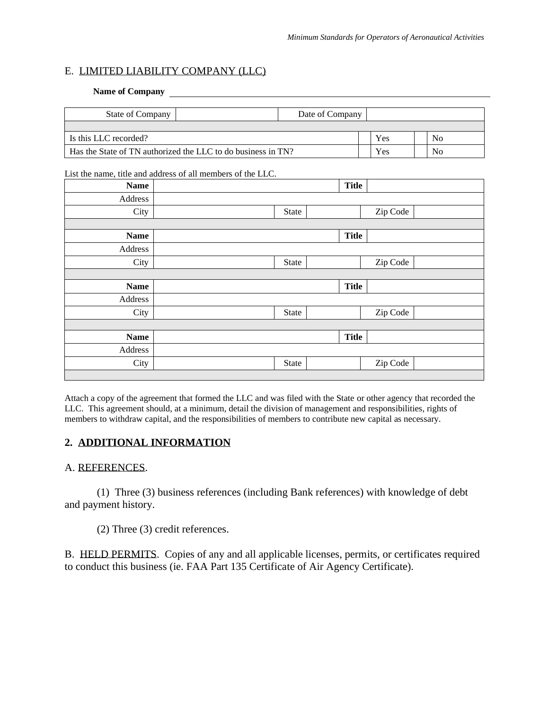## E. LIMITED LIABILITY COMPANY (LLC)

#### **Name of Company**

| <b>State of Company</b>                                      | Date of Company |     |    |
|--------------------------------------------------------------|-----------------|-----|----|
|                                                              |                 |     |    |
| I Is this LLC recorded?                                      |                 | Yes | No |
| Has the State of TN authorized the LLC to do business in TN? |                 | Yes | No |

#### List the name, title and address of all members of the LLC.

| <b>Name</b> |              | <b>Title</b> |          |  |
|-------------|--------------|--------------|----------|--|
| Address     |              |              |          |  |
| City        | State        |              | Zip Code |  |
|             |              |              |          |  |
| <b>Name</b> |              | <b>Title</b> |          |  |
| Address     |              |              |          |  |
| City        | <b>State</b> |              | Zip Code |  |
|             |              |              |          |  |
|             |              |              |          |  |
| <b>Name</b> |              | <b>Title</b> |          |  |
| Address     |              |              |          |  |
| City        | State        |              | Zip Code |  |
|             |              |              |          |  |
| <b>Name</b> |              | <b>Title</b> |          |  |
| Address     |              |              |          |  |
| City        | State        |              | Zip Code |  |

Attach a copy of the agreement that formed the LLC and was filed with the State or other agency that recorded the LLC. This agreement should, at a minimum, detail the division of management and responsibilities, rights of members to withdraw capital, and the responsibilities of members to contribute new capital as necessary.

# **2. ADDITIONAL INFORMATION**

### A. REFERENCES.

(1) Three (3) business references (including Bank references) with knowledge of debt and payment history.

(2) Three (3) credit references.

B. HELD PERMITS. Copies of any and all applicable licenses, permits, or certificates required to conduct this business (ie. FAA Part 135 Certificate of Air Agency Certificate).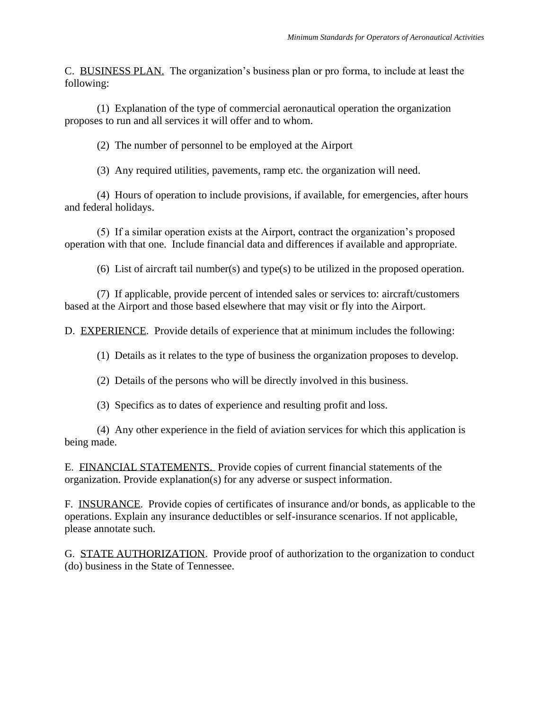C. BUSINESS PLAN. The organization's business plan or pro forma, to include at least the following:

(1) Explanation of the type of commercial aeronautical operation the organization proposes to run and all services it will offer and to whom.

(2) The number of personnel to be employed at the Airport

(3) Any required utilities, pavements, ramp etc. the organization will need.

(4) Hours of operation to include provisions, if available, for emergencies, after hours and federal holidays.

(5) If a similar operation exists at the Airport, contract the organization's proposed operation with that one. Include financial data and differences if available and appropriate.

(6) List of aircraft tail number(s) and type(s) to be utilized in the proposed operation.

(7) If applicable, provide percent of intended sales or services to: aircraft/customers based at the Airport and those based elsewhere that may visit or fly into the Airport.

D. EXPERIENCE. Provide details of experience that at minimum includes the following:

(1) Details as it relates to the type of business the organization proposes to develop.

(2) Details of the persons who will be directly involved in this business.

(3) Specifics as to dates of experience and resulting profit and loss.

(4) Any other experience in the field of aviation services for which this application is being made.

E. FINANCIAL STATEMENTS. Provide copies of current financial statements of the organization. Provide explanation(s) for any adverse or suspect information.

F. INSURANCE. Provide copies of certificates of insurance and/or bonds, as applicable to the operations. Explain any insurance deductibles or self-insurance scenarios. If not applicable, please annotate such.

G. STATE AUTHORIZATION. Provide proof of authorization to the organization to conduct (do) business in the State of Tennessee.